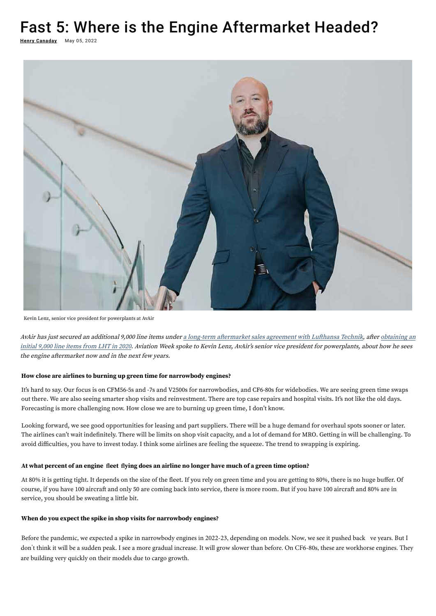# Fast 5: Where is the Engine Aftermarket Headed?

**<u>Henry Canaday</u> May 05, 2022** 



Kevin Lenz, senior vice president for powerplants at AvAir

AvAir has just secured an additional 9,000 line items under a long-term aftermarket sales agreement with Lufthansa Technik, after obtaining an initial 9,000 line items from LHT in 2020. Aviation Week spoke to Kevin Lenz, AvAir's senior vice president for powerplants, about how he sees the engine aftermarket now and in the next few years.

Looking forward, we see good opportunities for leasing and part suppliers. There will be a huge demand for overhaul spots sooner or later. The airlines can't wait indefinitely. There will be limits on shop visit capacity, and a lot of demand for MRO. Getting in will be challenging. To avoid difficulties, you have to invest today. I think some airlines are feeling the squeeze. The trend to swapping is expiring.

### **How close are airlines to burning up green time for narrowbody engines?**

It's hard to say. Our focus is on CFM56-5s and -7s and V2500s for narrowbodies, and CF6-80s for widebodies. We are seeing green time swaps [out there. We are also seeing smarter shop visits and reinvestment. There are top case repairs and hospital visits. It's not like the old days.](https://aviationweek.com/mro/avair-takes-hefty-lufthansa-technik-spares-overstock)  Forecasting is more challenging now. How close we are to burning up green time, I don't know.

At 80% it is getting tight. It depends on the size of the fleet. If you rely on green time and you are getting to 80%, there is no huge buffer. Of course, if you have 100 aircraft and only 50 are coming back into service, there is more room. But if you have 100 aircraft and 80% are in service, you should be sweating a little bit.

#### **At what percent of an engine fleet flying does an airline no longer have much of a green time option?**

#### **When do you expect the spike in shop visits for narrowbody engines?**

Before the pandemic, we expected a spike in narrowbody engines in 2022-23, depending on models. Now, we see it pushed back ve years. But I don't think it will be a sudden peak. I see a more gradual increase. It will grow slower than before. On CF6-80s, these are workhorse engines. They are building very quickly on their models due to cargo growth.